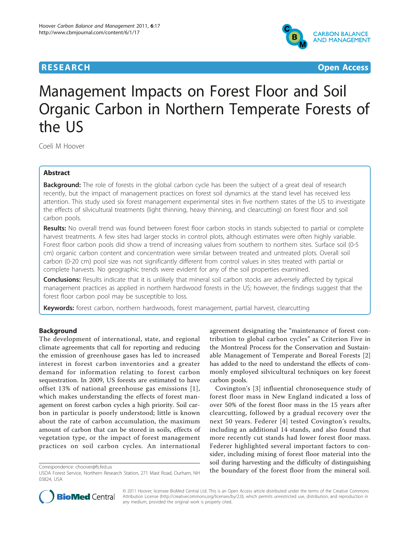# **RESEARCH CONTROL** CONTROL CONTROL CONTROL CONTROL CONTROL CONTROL CONTROL CONTROL CONTROL CONTROL CONTROL CONTROL CONTROL CONTROL CONTROL CONTROL CONTROL CONTROL CONTROL CONTROL CONTROL CONTROL CONTROL CONTROL CONTROL CON



# Management Impacts on Forest Floor and Soil Organic Carbon in Northern Temperate Forests of the US

Coeli M Hoover

# Abstract

**Background:** The role of forests in the global carbon cycle has been the subject of a great deal of research recently, but the impact of management practices on forest soil dynamics at the stand level has received less attention. This study used six forest management experimental sites in five northern states of the US to investigate the effects of silvicultural treatments (light thinning, heavy thinning, and clearcutting) on forest floor and soil carbon pools.

Results: No overall trend was found between forest floor carbon stocks in stands subjected to partial or complete harvest treatments. A few sites had larger stocks in control plots, although estimates were often highly variable. Forest floor carbon pools did show a trend of increasing values from southern to northern sites. Surface soil (0-5 cm) organic carbon content and concentration were similar between treated and untreated plots. Overall soil carbon (0-20 cm) pool size was not significantly different from control values in sites treated with partial or complete harvests. No geographic trends were evident for any of the soil properties examined.

**Conclusions:** Results indicate that it is unlikely that mineral soil carbon stocks are adversely affected by typical management practices as applied in northern hardwood forests in the US; however, the findings suggest that the forest floor carbon pool may be susceptible to loss.

Keywords: forest carbon, northern hardwoods, forest management, partial harvest, clearcutting

# Background

The development of international, state, and regional climate agreements that call for reporting and reducing the emission of greenhouse gases has led to increased interest in forest carbon inventories and a greater demand for information relating to forest carbon sequestration. In 2009, US forests are estimated to have offset 13% of national greenhouse gas emissions [[1\]](#page-6-0), which makes understanding the effects of forest management on forest carbon cycles a high priority. Soil carbon in particular is poorly understood; little is known about the rate of carbon accumulation, the maximum amount of carbon that can be stored in soils, effects of vegetation type, or the impact of forest management practices on soil carbon cycles. An international

agreement designating the "maintenance of forest contribution to global carbon cycles" as Criterion Five in the Montreal Process for the Conservation and Sustainable Management of Temperate and Boreal Forests [\[2](#page-6-0)] has added to the need to understand the effects of commonly employed silvicultural techniques on key forest carbon pools.

Covington's [[3\]](#page-6-0) influential chronosequence study of forest floor mass in New England indicated a loss of over 50% of the forest floor mass in the 15 years after clearcutting, followed by a gradual recovery over the next 50 years. Federer [[4](#page-6-0)] tested Covington's results, including an additional 14 stands, and also found that more recently cut stands had lower forest floor mass. Federer highlighted several important factors to consider, including mixing of forest floor material into the soil during harvesting and the difficulty of distinguishing Correspondence: [choover@fs.fed.us](mailto:choover@fs.fed.us)<br>LISDA Forest Senvice Northern Besearch Station 271 Mast Road Durham NH the boundary of the forest floor from the mineral soil.



© 2011 Hoover; licensee BioMed Central Ltd. This is an Open Access article distributed under the terms of the Creative Commons Attribution License [\(http://creativecommons.org/licenses/by/2.0](http://creativecommons.org/licenses/by/2.0)), which permits unrestricted use, distribution, and reproduction in any medium, provided the original work is properly cited.

USDA Forest Service, Northern Research Station, 271 Mast Road, Durham, NH 03824, USA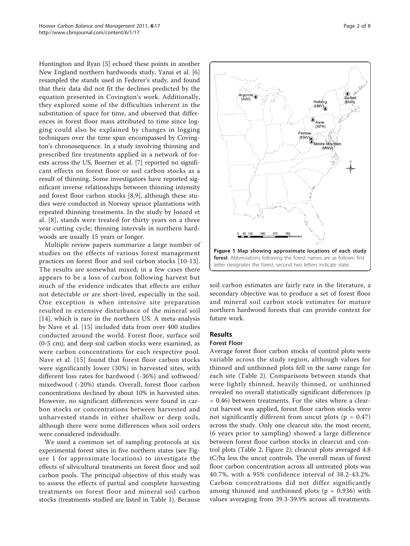<span id="page-1-0"></span>Huntington and Ryan [\[5](#page-6-0)] echoed these points in another New England northern hardwoods study. Yanai et al. [[6](#page-6-0)] resampled the stands used in Federer's study, and found that their data did not fit the declines predicted by the equation presented in Covington's work. Additionally, they explored some of the difficulties inherent in the substitution of space for time, and observed that differences in forest floor mass attributed to time since logging could also be explained by changes in logging techniques over the time span encompassed by Covington's chronosequence. In a study involving thinning and prescribed fire treatments applied in a network of forests across the US, Boerner et al. [\[7](#page-6-0)] reported no significant effects on forest floor or soil carbon stocks as a result of thinning. Some investigators have reported significant inverse relationships between thinning intensity and forest floor carbon stocks [[8,9](#page-6-0)], although these studies were conducted in Norway spruce plantations with repeated thinning treatments. In the study by Jonard et al. [[8\]](#page-6-0), stands were treated for thirty years on a three year cutting cycle; thinning intervals in northern hardwoods are usually 15 years or longer.

Multiple review papers summarize a large number of studies on the effects of various forest management practices on forest floor and soil carbon stocks [[10-](#page-6-0)[13](#page-7-0)]. The results are somewhat mixed; in a few cases there appears to be a loss of carbon following harvest but much of the evidence indicates that effects are either not detectable or are short-lived, especially in the soil. One exception is when intensive site preparation resulted in extensive disturbance of the mineral soil [[14\]](#page-7-0), which is rare in the northern US. A meta-analysis by Nave et al. [\[15\]](#page-7-0) included data from over 400 studies conducted around the world. Forest floor, surface soil (0-5 cm), and deep soil carbon stocks were examined, as were carbon concentrations for each respective pool. Nave et al. [[15](#page-7-0)] found that forest floor carbon stocks were significantly lower (30%) in harvested sites, with different loss rates for hardwood (-36%) and softwood/ mixedwood (-20%) stands. Overall, forest floor carbon concentrations declined by about 10% in harvested sites. However, no significant differences were found in carbon stocks or concentrations between harvested and unharvested stands in either shallow or deep soils, although there were some differences when soil orders were considered individually.

We used a common set of sampling protocols at six experimental forest sites in five northern states (see Figure 1 for approximate locations) to investigate the effects of silvicultural treatments on forest floor and soil carbon pools. The principal objective of this study was to assess the effects of partial and complete harvesting treatments on forest floor and mineral soil carbon stocks (treatments studied are listed in Table [1\)](#page-2-0). Because



soil carbon estimates are fairly rare in the literature, a secondary objective was to produce a set of forest floor and mineral soil carbon stock estimates for mature northern hardwood forests that can provide context for future work.

# Results

#### Forest Floor

Average forest floor carbon stocks of control plots were variable across the study region, although values for thinned and unthinned plots fell in the same range for each site (Table [2\)](#page-2-0). Comparisons between stands that were lightly thinned, heavily thinned, or unthinned revealed no overall statistically significant differences (p = 0.46) between treatments. For the sites where a clearcut harvest was applied, forest floor carbon stocks were not significantly different from uncut plots ( $p = 0.47$ ) across the study. Only one clearcut site, the most recent, (6 years prior to sampling) showed a large difference between forest floor carbon stocks in clearcut and control plots (Table [2](#page-2-0), Figure [2\)](#page-3-0); clearcut plots averaged 4.8 tC/ha less the uncut controls. The overall mean of forest floor carbon concentration across all untreated plots was 40.7%, with a 95% confidence interval of 38.2-43.2%. Carbon concentrations did not differ significantly among thinned and unthinned plots ( $p = 0.936$ ) with values averaging from 39.3-39.9% across all treatments.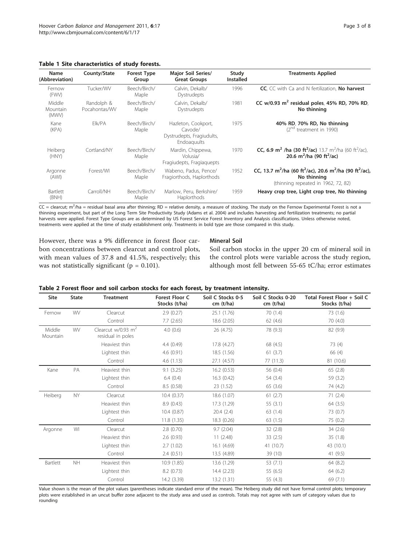<span id="page-2-0"></span>Table 1 Site characteristics of study forests.

| Name<br>(Abbreviation)      | County/State                | <b>Forest Type</b><br>Group | Major Soil Series/<br><b>Great Groups</b>                                  | Study<br><b>Installed</b> | <b>Treatments Applied</b>                                                                                                                                     |
|-----------------------------|-----------------------------|-----------------------------|----------------------------------------------------------------------------|---------------------------|---------------------------------------------------------------------------------------------------------------------------------------------------------------|
| Fernow<br>(FWV)             | Tucker/WV                   | Beech/Birch/<br>Maple       | Calvin, Dekalb/<br>Dystrudepts                                             | 1996                      | CC, CC with Ca and N fertilization, No harvest                                                                                                                |
| Middle<br>Mountain<br>(MWV) | Randolph &<br>Pocahontas/WV | Beech/Birch/<br>Maple       | Calvin, Dekalb/<br>Dystrudepts                                             | 1981                      | CC w/0.93 $m^2$ residual poles, 45% RD, 70% RD,<br>No thinning                                                                                                |
| Kane<br>(KPA)               | Elk/PA                      | Beech/Birch/<br>Maple       | Hazleton, Cookport,<br>Cavode/<br>Dystrudepts, Fragiudults,<br>Endoaguults | 1975                      | 40% RD, 70% RD, No thinning<br>(2 <sup>nd</sup> treatment in 1990)                                                                                            |
| Heiberg<br>(HNY)            | Cortland/NY                 | Beech/Birch/<br>Maple       | Mardin, Chippewa,<br>Volusia/<br>Fragiudepts, Fragiaguepts                 | 1970                      | <b>CC, 6.9 m<sup>2</sup> /ha (30 ft<sup>2</sup>/ac)</b> 13.7 m <sup>2</sup> /ha (60 ft <sup>2</sup> /ac),<br>20.6 m <sup>2</sup> /ha (90 ft <sup>2</sup> /ac) |
| Argonne<br>(AWI)            | Forest/WI                   | Beech/Birch/<br>Maple       | Wabeno, Padus, Pence/<br>Fragiorthods, Haplorthods                         | 1952                      | CC, 13.7 m <sup>2</sup> /ha (60 ft <sup>2</sup> /ac), 20.6 m <sup>2</sup> /ha (90 ft <sup>2</sup> /ac),<br>No thinning<br>(thinning repeated in 1962, 72, 82) |
| <b>Bartlett</b><br>(BNH)    | Carroll/NH                  | Beech/Birch/<br>Maple       | Marlow, Peru, Berkshire/<br>Haplorthods                                    | 1959                      | Heavy crop tree, Light crop tree, No thinning                                                                                                                 |

 $CC =$  clearcut; m<sup>2</sup>/ha = residual basal area after thinning; RD = relative density, a measure of stocking. The study on the Fernow Experimental Forest is not a thinning experiment, but part of the Long Term Site Productivity Study (Adams et al. 2004) and includes harvesting and fertilization treatments; no partial harvests were applied. Forest Type Groups are as determined by US Forest Service Forest Inventory and Analysis classifications. Unless otherwise noted, treatments were applied at the time of study establishment only. Treatments in bold type are those compared in this study.

However, there was a 9% difference in forest floor carbon concentrations between clearcut and control plots, with mean values of 37.8 and 41.5%, respectively; this was not statistically significant ( $p = 0.101$ ).

# Mineral Soil

Soil carbon stocks in the upper 20 cm of mineral soil in the control plots were variable across the study region, although most fell between 55-65 tC/ha; error estimates

| Table 2 Forest floor and soil carbon stocks for each forest, by treatment intensity. |  |  |  |  |
|--------------------------------------------------------------------------------------|--|--|--|--|
|--------------------------------------------------------------------------------------|--|--|--|--|

| Site               | <b>State</b> | <b>Treatment</b>                                      | Forest Floor C<br>Stocks (t/ha) | Soil C Stocks 0-5<br>cm (t/ha) | Soil C Stocks 0-20<br>cm (t/ha) | Total Forest Floor + Soil C<br>Stocks (t/ha) |
|--------------------|--------------|-------------------------------------------------------|---------------------------------|--------------------------------|---------------------------------|----------------------------------------------|
| Fernow             | WV           | Clearcut                                              | 2.9(0.27)                       | 25.1 (1.76)                    | 70 (1.4)                        | 73 (1.6)                                     |
|                    |              | Control                                               | 7.7(2.65)                       | 18.6 (2.05)                    | 62 (4.6)                        | 70(4.0)                                      |
| Middle<br>Mountain | <b>WV</b>    | Clearcut $w/0.93$ m <sup>2</sup><br>residual in poles | 4.0(0.6)                        | 26 (4.75)                      | 78 (9.3)                        | 82 (9.9)                                     |
|                    |              | Heaviest thin                                         | 4.4(0.49)                       | 17.8 (4.27)                    | 68 (4.5)                        | 73 (4)                                       |
|                    |              | Lightest thin                                         | 4.6(0.91)                       | 18.5 (1.56)                    | 61(3.7)                         | 66 (4)                                       |
|                    |              | Control                                               | 4.6(1.13)                       | 27.1 (4.57)                    | 77 (11.3)                       | 81 (10.6)                                    |
| Kane               | PA           | Heaviest thin                                         | 9.1(3.25)                       | 16.2(0.53)                     | 56 (0.4)                        | 65(2.8)                                      |
|                    |              | Lightest thin                                         | 6.4(0.4)                        | 16.3(0.42)                     | 54 (3.4)                        | 59 (3.2)                                     |
|                    |              | Control                                               | 8.5 (0.58)                      | 23 (1.52)                      | 65(3.6)                         | 74 (4.2)                                     |
| Heiberg            | <b>NY</b>    | Clearcut                                              | 10.4(0.37)                      | 18.6 (1.07)                    | 61(2.7)                         | 71(2.4)                                      |
|                    |              | Heaviest thin                                         | 8.9(0.43)                       | 17.3 (1.29)                    | 55(3.1)                         | 64 (3.5)                                     |
|                    |              | Lightest thin                                         | 10.4(0.87)                      | 20.4(2.4)                      | 63(1.4)                         | 73 (0.7)                                     |
|                    |              | Control                                               | 11.8(1.35)                      | 18.3 (0.26)                    | 63(1.5)                         | 75 (0.2)                                     |
| Argonne            | WI           | Clearcut                                              | 2.8(0.70)                       | 9.7(2.04)                      | 32(2.8)                         | 34(2.6)                                      |
|                    |              | Heaviest thin                                         | 2.6(0.93)                       | 11(2.48)                       | 33(2.5)                         | 35(1.8)                                      |
|                    |              | Lightest thin                                         | 2.7(1.02)                       | 16.1 (4.69)                    | 41 (10.7)                       | 43 (10.1)                                    |
|                    |              | Control                                               | 2.4(0.51)                       | 13.5 (4.89)                    | 39 (10)                         | 41 (9.5)                                     |
| Bartlett           | <b>NH</b>    | Heaviest thin                                         | 10.9(1.85)                      | 13.6 (1.29)                    | 53 (7.1)                        | 64(8.2)                                      |
|                    |              | Lightest thin                                         | 8.2(0.73)                       | 14.4 (2.23)                    | 55 (6.5)                        | 64 (6.2)                                     |
|                    |              | Control                                               | 14.2 (3.39)                     | 13.2 (1.31)                    | 55 (4.3)                        | 69 (7.1)                                     |

Value shown is the mean of the plot values (parentheses indicate standard error of the mean). The Heiberg study did not have formal control plots; temporary plots were established in an uncut buffer zone adjacent to the study area and used as controls. Totals may not agree with sum of category values due to rounding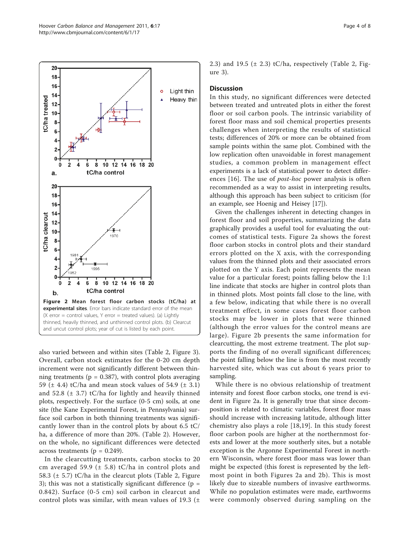<span id="page-3-0"></span>

also varied between and within sites (Table [2](#page-2-0), Figure [3](#page-4-0)). Overall, carbon stock estimates for the 0-20 cm depth increment were not significantly different between thinning treatments ( $p = 0.387$ ), with control plots averaging 59 ( $\pm$  4.4) tC/ha and mean stock values of 54.9 ( $\pm$  3.1) and 52.8  $(\pm 3.7)$  tC/ha for lightly and heavily thinned plots, respectively. For the surface (0-5 cm) soils, at one site (the Kane Experimental Forest, in Pennsylvania) surface soil carbon in both thinning treatments was significantly lower than in the control plots by about 6.5 tC/ ha, a difference of more than 20%. (Table [2](#page-2-0)). However, on the whole, no significant differences were detected across treatments ( $p = 0.249$ ).

In the clearcutting treatments, carbon stocks to 20 cm averaged 59.9 ( $\pm$  5.8) tC/ha in control plots and 58.3 (± 5.7) tC/ha in the clearcut plots (Table [2,](#page-2-0) Figure [3\)](#page-4-0); this was not a statistically significant difference ( $p =$ 0.842). Surface (0-5 cm) soil carbon in clearcut and control plots was similar, with mean values of 19.3 ( $\pm$  2.3) and 19.5 ( $\pm$  [2](#page-2-0).3) tC/ha, respectively (Table 2, Figure [3\)](#page-4-0).

#### **Discussion**

In this study, no significant differences were detected between treated and untreated plots in either the forest floor or soil carbon pools. The intrinsic variability of forest floor mass and soil chemical properties presents challenges when interpreting the results of statistical tests; differences of 20% or more can be obtained from sample points within the same plot. Combined with the low replication often unavoidable in forest management studies, a common problem in management effect experiments is a lack of statistical power to detect differences [[16\]](#page-7-0). The use of post-hoc power analysis is often recommended as a way to assist in interpreting results, although this approach has been subject to criticism (for an example, see Hoenig and Heisey [\[17\]](#page-7-0)).

Given the challenges inherent in detecting changes in forest floor and soil properties, summarizing the data graphically provides a useful tool for evaluating the outcomes of statistical tests. Figure 2a shows the forest floor carbon stocks in control plots and their standard errors plotted on the X axis, with the corresponding values from the thinned plots and their associated errors plotted on the Y axis. Each point represents the mean value for a particular forest; points falling below the 1:1 line indicate that stocks are higher in control plots than in thinned plots. Most points fall close to the line, with a few below, indicating that while there is no overall treatment effect, in some cases forest floor carbon stocks may be lower in plots that were thinned (although the error values for the control means are large). Figure 2b presents the same information for clearcutting, the most extreme treatment. The plot supports the finding of no overall significant differences; the point falling below the line is from the most recently harvested site, which was cut about 6 years prior to sampling.

While there is no obvious relationship of treatment intensity and forest floor carbon stocks, one trend is evident in Figure 2a. It is generally true that since decomposition is related to climatic variables, forest floor mass should increase with increasing latitude, although litter chemistry also plays a role [\[18,19\]](#page-7-0). In this study forest floor carbon pools are higher at the northernmost forests and lower at the more southerly sites, but a notable exception is the Argonne Experimental Forest in northern Wisconsin, where forest floor mass was lower than might be expected (this forest is represented by the leftmost point in both Figures 2a and 2b). This is most likely due to sizeable numbers of invasive earthworms. While no population estimates were made, earthworms were commonly observed during sampling on the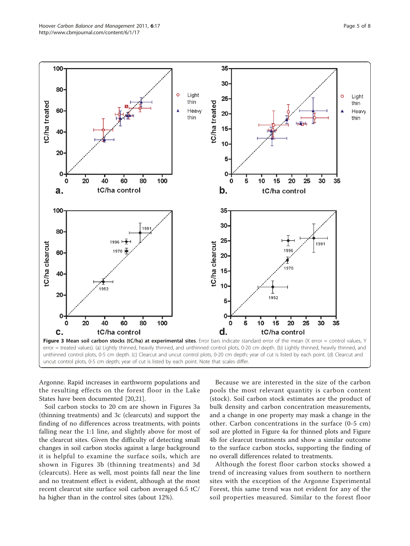<span id="page-4-0"></span>

Argonne. Rapid increases in earthworm populations and the resulting effects on the forest floor in the Lake States have been documented [[20,21\]](#page-7-0).

Soil carbon stocks to 20 cm are shown in Figures 3a (thinning treatments) and 3c (clearcuts) and support the finding of no differences across treatments, with points falling near the 1:1 line, and slightly above for most of the clearcut sites. Given the difficulty of detecting small changes in soil carbon stocks against a large background it is helpful to examine the surface soils, which are shown in Figures 3b (thinning treatments) and 3d (clearcuts). Here as well, most points fall near the line and no treatment effect is evident, although at the most recent clearcut site surface soil carbon averaged 6.5 tC/ ha higher than in the control sites (about 12%).

Because we are interested in the size of the carbon pools the most relevant quantity is carbon content (stock). Soil carbon stock estimates are the product of bulk density and carbon concentration measurements, and a change in one property may mask a change in the other. Carbon concentrations in the surface (0-5 cm) soil are plotted in Figure [4a](#page-5-0) for thinned plots and Figure [4b](#page-5-0) for clearcut treatments and show a similar outcome to the surface carbon stocks, supporting the finding of no overall differences related to treatments.

Although the forest floor carbon stocks showed a trend of increasing values from southern to northern sites with the exception of the Argonne Experimental Forest, this same trend was not evident for any of the soil properties measured. Similar to the forest floor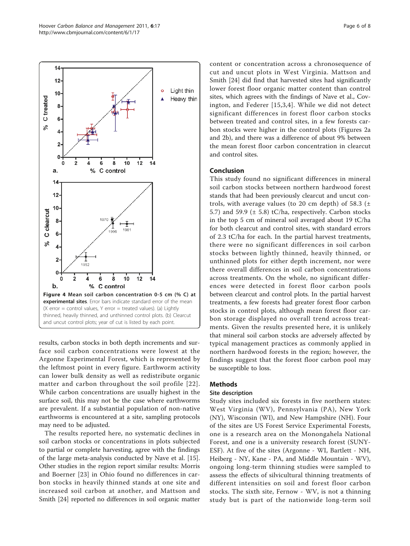<span id="page-5-0"></span>![](_page_5_Figure_2.jpeg)

results, carbon stocks in both depth increments and surface soil carbon concentrations were lowest at the Argonne Experimental Forest, which is represented by the leftmost point in every figure. Earthworm activity can lower bulk density as well as redistribute organic matter and carbon throughout the soil profile [[22\]](#page-7-0). While carbon concentrations are usually highest in the surface soil, this may not be the case where earthworms are prevalent. If a substantial population of non-native earthworms is encountered at a site, sampling protocols may need to be adjusted.

The results reported here, no systematic declines in soil carbon stocks or concentrations in plots subjected to partial or complete harvesting, agree with the findings of the large meta-analysis conducted by Nave et al. [\[15](#page-7-0)]. Other studies in the region report similar results: Morris and Boerner [\[23\]](#page-7-0) in Ohio found no differences in carbon stocks in heavily thinned stands at one site and increased soil carbon at another, and Mattson and Smith [\[24\]](#page-7-0) reported no differences in soil organic matter content or concentration across a chronosequence of cut and uncut plots in West Virginia. Mattson and Smith [[24](#page-7-0)] did find that harvested sites had significantly lower forest floor organic matter content than control sites, which agrees with the findings of Nave et al., Covington, and Federer [[15,](#page-7-0)[3](#page-6-0),[4](#page-6-0)]. While we did not detect significant differences in forest floor carbon stocks between treated and control sites, in a few forests carbon stocks were higher in the control plots (Figures [2a](#page-3-0) and [2b\)](#page-3-0), and there was a difference of about 9% between the mean forest floor carbon concentration in clearcut and control sites.

# Conclusion

This study found no significant differences in mineral soil carbon stocks between northern hardwood forest stands that had been previously clearcut and uncut controls, with average values (to 20 cm depth) of 58.3  $(\pm$ 5.7) and 59.9 ( $\pm$  5.8) tC/ha, respectively. Carbon stocks in the top 5 cm of mineral soil averaged about 19 tC/ha for both clearcut and control sites, with standard errors of 2.3 tC/ha for each. In the partial harvest treatments, there were no significant differences in soil carbon stocks between lightly thinned, heavily thinned, or unthinned plots for either depth increment, nor were there overall differences in soil carbon concentrations across treatments. On the whole, no significant differences were detected in forest floor carbon pools between clearcut and control plots. In the partial harvest treatments, a few forests had greater forest floor carbon stocks in control plots, although mean forest floor carbon storage displayed no overall trend across treatments. Given the results presented here, it is unlikely that mineral soil carbon stocks are adversely affected by typical management practices as commonly applied in northern hardwood forests in the region; however, the findings suggest that the forest floor carbon pool may be susceptible to loss.

#### Methods

#### Site description

Study sites included six forests in five northern states: West Virginia (WV), Pennsylvania (PA), New York (NY), Wisconsin (WI), and New Hampshire (NH). Four of the sites are US Forest Service Experimental Forests, one is a research area on the Monongahela National Forest, and one is a university research forest (SUNY-ESF). At five of the sites (Argonne - WI, Bartlett - NH, Heiberg - NY, Kane - PA, and Middle Mountain - WV), ongoing long-term thinning studies were sampled to assess the effects of silvicultural thinning treatments of different intensities on soil and forest floor carbon stocks. The sixth site, Fernow - WV, is not a thinning study but is part of the nationwide long-term soil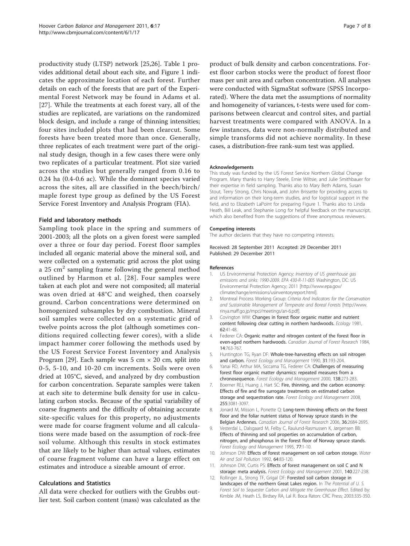<span id="page-6-0"></span>productivity study (LTSP) network [[25](#page-7-0),[26](#page-7-0)]. Table [1](#page-2-0) provides additional detail about each site, and Figure [1](#page-1-0) indicates the approximate location of each forest. Further details on each of the forests that are part of the Experimental Forest Network may be found in Adams et al. [[27\]](#page-7-0). While the treatments at each forest vary, all of the studies are replicated, are variations on the randomized block design, and include a range of thinning intensities; four sites included plots that had been clearcut. Some forests have been treated more than once. Generally, three replicates of each treatment were part of the original study design, though in a few cases there were only two replicates of a particular treatment. Plot size varied across the studies but generally ranged from 0.16 to 0.24 ha (0.4-0.6 ac). While the dominant species varied across the sites, all are classified in the beech/birch/ maple forest type group as defined by the US Forest Service Forest Inventory and Analysis Program (FIA).

#### Field and laboratory methods

Sampling took place in the spring and summers of 2001-2003; all the plots on a given forest were sampled over a three or four day period. Forest floor samples included all organic material above the mineral soil, and were collected on a systematic grid across the plot using a 25 cm<sup>2</sup> sampling frame following the general method outlined by Harmon et al. [[28](#page-7-0)]. Four samples were taken at each plot and were not composited; all material was oven dried at 48°C and weighed, then coarsely ground. Carbon concentrations were determined on homogenized subsamples by dry combustion. Mineral soil samples were collected on a systematic grid of twelve points across the plot (although sometimes conditions required collecting fewer cores), with a slide impact hammer corer following the methods used by the US Forest Service Forest Inventory and Analysis Program [\[29](#page-7-0)]. Each sample was 5 cm  $\times$  20 cm, split into 0-5, 5-10, and 10-20 cm increments. Soils were oven dried at 105°C, sieved, and analyzed by dry combustion for carbon concentration. Separate samples were taken at each site to determine bulk density for use in calculating carbon stocks. Because of the spatial variability of coarse fragments and the difficulty of obtaining accurate site-specific values for this property, no adjustments were made for coarse fragment volume and all calculations were made based on the assumption of rock-free soil volume. Although this results in stock estimates that are likely to be higher than actual values, estimates of coarse fragment volume can have a large effect on estimates and introduce a sizeable amount of error.

#### Calculations and Statistics

All data were checked for outliers with the Grubbs outlier test. Soil carbon content (mass) was calculated as the product of bulk density and carbon concentrations. Forest floor carbon stocks were the product of forest floor mass per unit area and carbon concentration. All analyses were conducted with SigmaStat software (SPSS Incorporated). Where the data met the assumptions of normality and homogeneity of variances, t-tests were used for comparisons between clearcut and control sites, and partial harvest treatments were compared with ANOVA. In a few instances, data were non-normally distributed and simple transforms did not achieve normality. In these cases, a distribution-free rank-sum test was applied.

#### Acknowledgements

This study was funded by the US Forest Service Northern Global Change Program. Many thanks to Harry Steele, Ernie Wiltsie, and Julie Smithbauer for their expertise in field sampling. Thanks also to Mary Beth Adams, Susan Stout, Terry Strong, Chris Nowak, and John Brissette for providing access to and information on their long-term studies, and for logistical support in the field, and to Elizabeth LaPoint for preparing Figure 1. Thanks also to Linda Heath, Bill Leak, and Stephanie Long for helpful feedback on the manuscript, which also benefited from the suggestions of three anonymous reviewers.

#### Competing interests

The author declares that they have no competing interests.

Received: 28 September 2011 Accepted: 29 December 2011 Published: 29 December 2011

#### References

- US Environmental Protection Agency: Inventory of US greenhouse gas emissions and sinks: 1990-2009. EPA 430-R-11-005 Washington, DC: US Environmental Protection Agency; 2011 [\[http://www.epa.gov/](http://www.epa.gov/climatechange/emissions/usinventoryreport.html) [climatechange/emissions/usinventoryreport.html](http://www.epa.gov/climatechange/emissions/usinventoryreport.html)].
- 2. Montreal Process Working Group: Criteria And Indicators for the Conservation and Sustainable Management of Temperate and Boreal Forests [\[http://www.](http://www.rinya.maff.go.jp/mpci/meetings/an-6.pdf) [rinya.maff.go.jp/mpci/meetings/an-6.pdf](http://www.rinya.maff.go.jp/mpci/meetings/an-6.pdf)].
- 3. Covington WW: Changes in forest floor organic matter and nutrient content following clear cutting in northern hardwoods. Ecology 1981, 62:41-48.
- 4. Federer CA: Organic matter and nitrogen content of the forest floor in even-aged northern hardwoods. Canadian Journal of Forest Research 1984, 14:763-767.
- 5. Huntington TG, Ryan DF: Whole-tree-harvesting effects on soil nitrogen and carbon. Forest Ecology and Management 1990, 31:193-204.
- 6. Yanai RD, Arthur MA, Siccama TG, Federer CA: Challenges of measuring forest floor organic matter dynamics: repeated measures from a chronosequence. Forest Ecology and Management 2000, 138:273-283.
- 7. Boerner REJ, Huang J, Hart SC: Fire, thinning, and the carbon economy: Effects of fire and fire surrogate treatments on estimated carbon storage and sequestration rate. Forest Ecology and Management 2008, 255:3081-3097.
- 8. Jonard M, Misson L, Ponette Q: Long-term thinning effects on the forest floor and the foliar nutrient status of Norway spruce stands in the Belgian Ardennes. Canadian Journal of Forest Research 2006, 36:2684-2695.
- 9. Vesterdal L, Dalsgaard M, Felby C, Raulund-Rasmussen K, Jørgensen BB: Effects of thinning and soil properties on accumulation of carbon, nitrogen, and phosphorus in the forest floor of Norway spruce stands. Forest Ecology and Management 1995, 77:1-10.
- 10. Johnson DW: Effects of forest management on soil carbon storage. Water Air and Soil Pollution 1992, 64:83-120.
- 11. Johnson DW, Curtis PS: Effects of forest management on soil C and N storage: meta analysis. Forest Ecology and Management 2001, 140:227-238.
- 12. Rollinger JL, Strong TF, Grigal DF: Forested soil carbon storage in landscapes of the northern Great Lakes region. In The Potential of U. S. Forest Soil to Sequester Carbon and Mitigate the Greenhouse Effect. Edited by: Kimble JM, Heath LS, Birdsey RA, Lal R. Boca Raton: CRC Press; 2003:335-350.